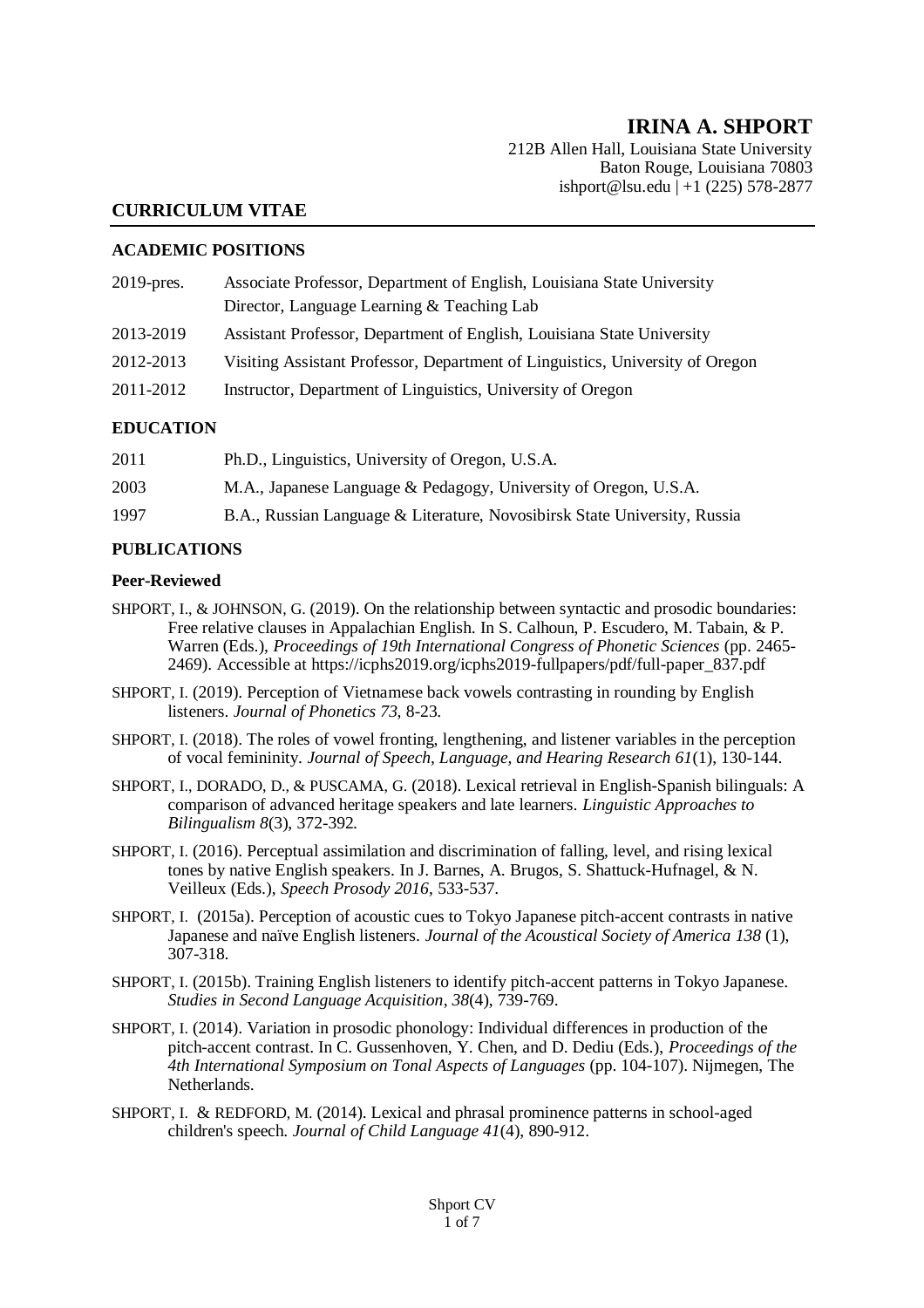# **IRINA A. SHPORT**

212B Allen Hall, Louisiana State University Baton Rouge, Louisiana 70803 ishport@lsu.edu | +1 (225) 578-2877

#### **CURRICULUM VITAE**

#### **ACADEMIC POSITIONS**

| $2019$ -pres. | Associate Professor, Department of English, Louisiana State University        |
|---------------|-------------------------------------------------------------------------------|
|               | Director, Language Learning & Teaching Lab                                    |
| 2013-2019     | Assistant Professor, Department of English, Louisiana State University        |
| 2012-2013     | Visiting Assistant Professor, Department of Linguistics, University of Oregon |
| 2011-2012     | Instructor, Department of Linguistics, University of Oregon                   |
|               |                                                                               |

#### **EDUCATION**

| 2011 | Ph.D., Linguistics, University of Oregon, U.S.A.                          |
|------|---------------------------------------------------------------------------|
| 2003 | M.A., Japanese Language & Pedagogy, University of Oregon, U.S.A.          |
| 1997 | B.A., Russian Language & Literature, Novosibirsk State University, Russia |

#### **PUBLICATIONS**

#### **Peer-Reviewed**

- SHPORT, I., & JOHNSON, G. (2019). On the relationship between syntactic and prosodic boundaries: Free relative clauses in Appalachian English. In S. Calhoun, P. Escudero, M. Tabain, & P. Warren (Eds.), *Proceedings of 19th International Congress of Phonetic Sciences* (pp. 2465- 2469). Accessible at https://icphs2019.org/icphs2019-fullpapers/pdf/full-paper\_837.pdf
- SHPORT, I. (2019). Perception of Vietnamese back vowels contrasting in rounding by English listeners. *Journal of Phonetics 73*, 8-23.
- SHPORT, I. (2018). The roles of vowel fronting, lengthening, and listener variables in the perception of vocal femininity. *Journal of Speech, Language, and Hearing Research 61*(1), 130-144.
- SHPORT, I., DORADO, D., & PUSCAMA, G. (2018). Lexical retrieval in English-Spanish bilinguals: A comparison of advanced heritage speakers and late learners. *Linguistic Approaches to Bilingualism 8*(3), 372-392*.*
- SHPORT, I. (2016). Perceptual assimilation and discrimination of falling, level, and rising lexical tones by native English speakers. In J. Barnes, A. Brugos, S. Shattuck-Hufnagel, & N. Veilleux (Eds.), *Speech Prosody 2016*, 533-537.
- SHPORT, I. (2015a). Perception of acoustic cues to Tokyo Japanese pitch-accent contrasts in native Japanese and naïve English listeners. *Journal of the Acoustical Society of America 138* (1), 307-318*.*
- SHPORT, I. (2015b). Training English listeners to identify pitch-accent patterns in Tokyo Japanese. *Studies in Second Language Acquisition*, *38*(4), 739-769.
- SHPORT, I. (2014). Variation in prosodic phonology: Individual differences in production of the pitch-accent contrast. In C. Gussenhoven, Y. Chen, and D. Dediu (Eds.), *Proceedings of the 4th International Symposium on Tonal Aspects of Languages* (pp. 104-107). Nijmegen, The Netherlands.
- SHPORT, I. & REDFORD, M. (2014). Lexical and phrasal prominence patterns in school-aged children's speech. *Journal of Child Language 41*(4), 890-912.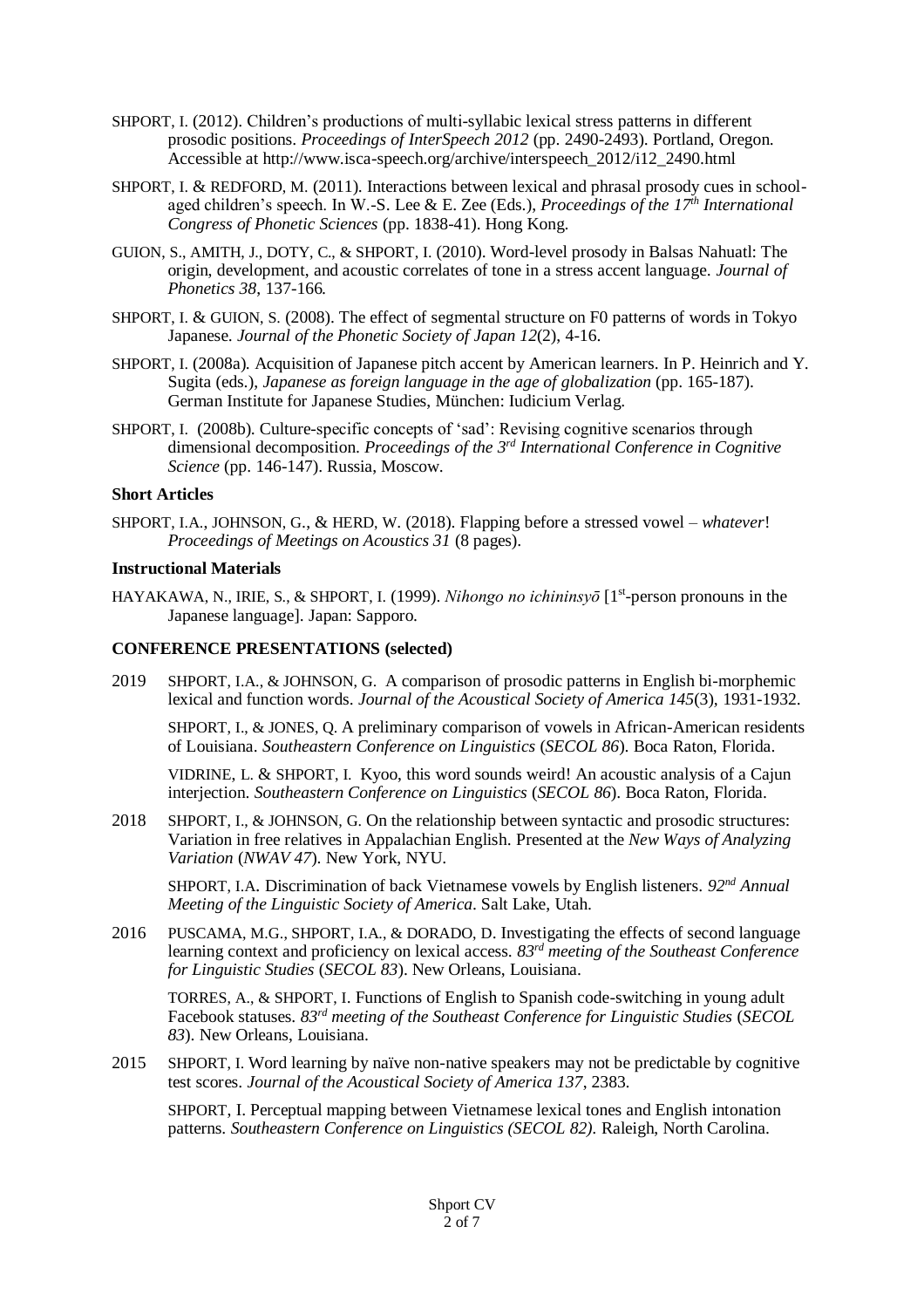- SHPORT, I. (2012). Children's productions of multi-syllabic lexical stress patterns in different prosodic positions. *Proceedings of InterSpeech 2012* (pp. 2490-2493). Portland, Oregon. Accessible at http://www.isca-speech.org/archive/interspeech\_2012/i12\_2490.html
- SHPORT, I. & REDFORD, M. (2011). Interactions between lexical and phrasal prosody cues in schoolaged children's speech. In W.-S. Lee & E. Zee (Eds.), *Proceedings of the 17th International Congress of Phonetic Sciences* (pp. 1838-41). Hong Kong.
- GUION, S., AMITH, J., DOTY, C., & SHPORT, I. (2010). Word-level prosody in Balsas Nahuatl: The origin, development, and acoustic correlates of tone in a stress accent language*. Journal of Phonetics 38*, 137-166*.*
- SHPORT, I. & GUION, S. (2008). The effect of segmental structure on F0 patterns of words in Tokyo Japanese. *Journal of the Phonetic Society of Japan 12*(2), 4-16.
- SHPORT, I. (2008a). Acquisition of Japanese pitch accent by American learners. In P. Heinrich and Y. Sugita (eds.), *Japanese as foreign language in the age of globalization* (pp. 165-187). German Institute for Japanese Studies, München: Iudicium Verlag.
- SHPORT, I. (2008b). Culture-specific concepts of 'sad': Revising cognitive scenarios through dimensional decomposition. *Proceedings of the 3 rd International Conference in Cognitive Science* (pp. 146-147). Russia, Moscow.

#### **Short Articles**

SHPORT, I.A., JOHNSON, G., & HERD, W. (2018). Flapping before a stressed vowel – *whatever*! *Proceedings of Meetings on Acoustics 31* (8 pages).

#### **Instructional Materials**

HAYAKAWA, N., IRIE, S., & SHPORT, I. (1999). *Nihongo no ichininsyō* [1<sup>st</sup>-person pronouns in the Japanese language]. Japan: Sapporo.

#### **CONFERENCE PRESENTATIONS (selected)**

2019 SHPORT, I.A., & JOHNSON, G. A comparison of prosodic patterns in English bi-morphemic lexical and function words. *Journal of the Acoustical Society of America 145*(3)*,* 1931-1932.

SHPORT, I., & JONES, Q. A preliminary comparison of vowels in African-American residents of Louisiana. *Southeastern Conference on Linguistics* (*SECOL 86*). Boca Raton, Florida.

VIDRINE, L. & SHPORT, I. Kyoo, this word sounds weird! An acoustic analysis of a Cajun interjection. *Southeastern Conference on Linguistics* (*SECOL 86*). Boca Raton, Florida.

2018 SHPORT, I., & JOHNSON, G. On the relationship between syntactic and prosodic structures: Variation in free relatives in Appalachian English. Presented at the *New Ways of Analyzing Variation* (*NWAV 47*). New York, NYU.

SHPORT, I.A. Discrimination of back Vietnamese vowels by English listeners. *92nd Annual Meeting of the Linguistic Society of America*. Salt Lake, Utah.

2016 PUSCAMA, M.G., SHPORT, I.A., & DORADO, D. Investigating the effects of second language learning context and proficiency on lexical access. *83rd meeting of the Southeast Conference for Linguistic Studies* (*SECOL 83*). New Orleans, Louisiana.

TORRES, A., & SHPORT, I. Functions of English to Spanish code-switching in young adult Facebook statuses. *83rd meeting of the Southeast Conference for Linguistic Studies* (*SECOL 83*). New Orleans, Louisiana.

2015 SHPORT, I. Word learning by naïve non-native speakers may not be predictable by cognitive test scores. *Journal of the Acoustical Society of America 137*, 2383.

SHPORT, I. Perceptual mapping between Vietnamese lexical tones and English intonation patterns. *Southeastern Conference on Linguistics (SECOL 82).* Raleigh, North Carolina.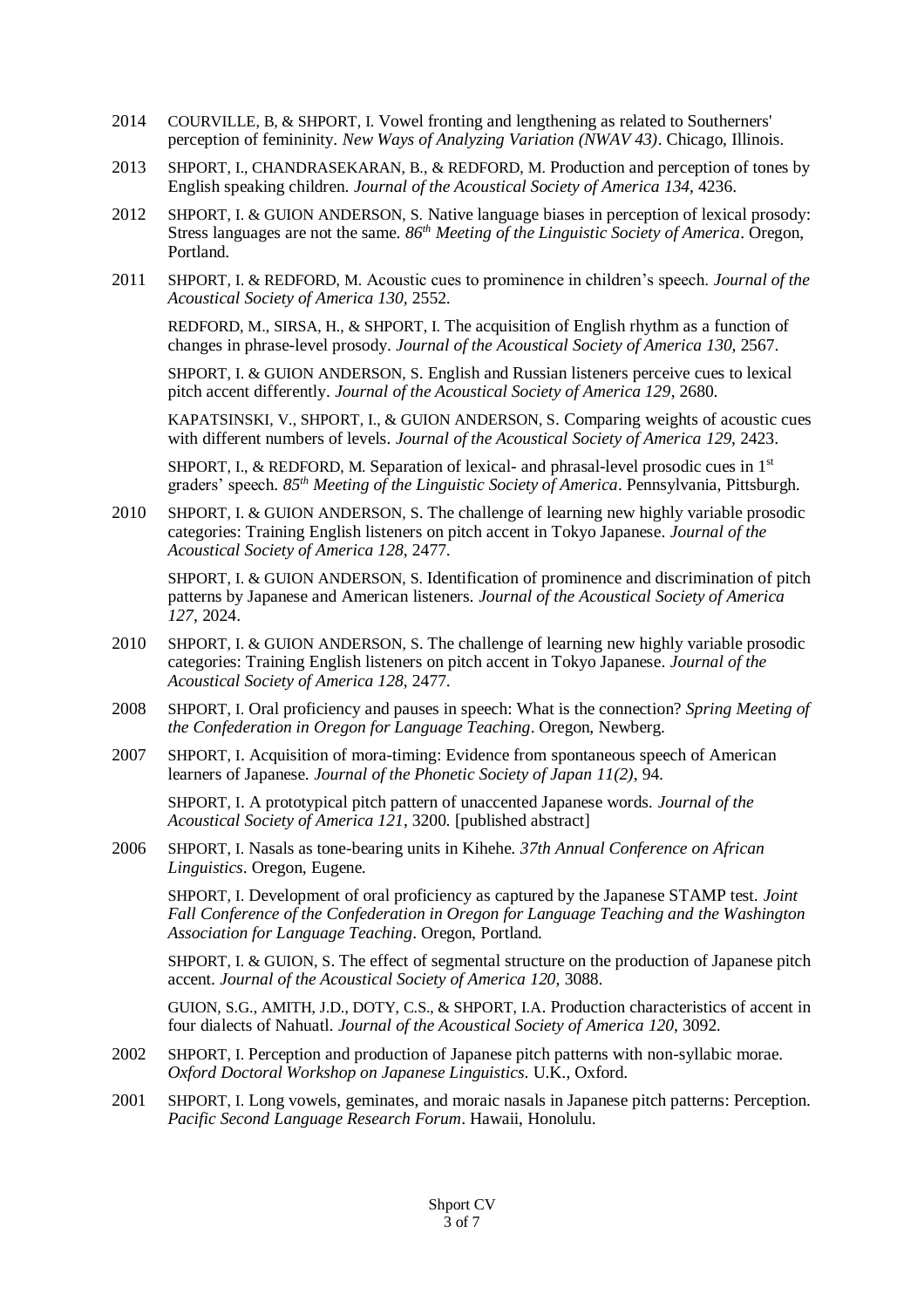- 2014 COURVILLE, B, & SHPORT, I. Vowel fronting and lengthening as related to Southerners' perception of femininity. *New Ways of Analyzing Variation (NWAV 43)*. Chicago, Illinois.
- 2013 SHPORT, I., CHANDRASEKARAN, B., & REDFORD, M. Production and perception of tones by English speaking children. *Journal of the Acoustical Society of America 134,* 4236.
- 2012 SHPORT, I. & GUION ANDERSON, S. Native language biases in perception of lexical prosody: Stress languages are not the same. *86th Meeting of the Linguistic Society of America*. Oregon, Portland.
- 2011 SHPORT, I. & REDFORD, M. Acoustic cues to prominence in children's speech. *Journal of the Acoustical Society of America 130,* 2552.

REDFORD, M., SIRSA, H., & SHPORT, I. The acquisition of English rhythm as a function of changes in phrase-level prosody. *Journal of the Acoustical Society of America 130,* 2567.

SHPORT, I. & GUION ANDERSON, S. English and Russian listeners perceive cues to lexical pitch accent differently. *Journal of the Acoustical Society of America 129*, 2680.

KAPATSINSKI, V., SHPORT, I., & GUION ANDERSON, S. Comparing weights of acoustic cues with different numbers of levels. *Journal of the Acoustical Society of America 129,* 2423.

SHPORT, I., & REDFORD, M. Separation of lexical- and phrasal-level prosodic cues in  $1<sup>st</sup>$ graders' speech. *85th Meeting of the Linguistic Society of America*. Pennsylvania, Pittsburgh.

2010 SHPORT, I. & GUION ANDERSON, S. The challenge of learning new highly variable prosodic categories: Training English listeners on pitch accent in Tokyo Japanese. *Journal of the Acoustical Society of America 128,* 2477.

SHPORT, I. & GUION ANDERSON, S. Identification of prominence and discrimination of pitch patterns by Japanese and American listeners. *Journal of the Acoustical Society of America 127,* 2024.

- 2010 SHPORT, I. & GUION ANDERSON, S. The challenge of learning new highly variable prosodic categories: Training English listeners on pitch accent in Tokyo Japanese. *Journal of the Acoustical Society of America 128,* 2477.
- 2008 SHPORT, I. Oral proficiency and pauses in speech: What is the connection? *Spring Meeting of the Confederation in Oregon for Language Teaching*. Oregon, Newberg.
- 2007 SHPORT, I. Acquisition of mora-timing: Evidence from spontaneous speech of American learners of Japanese. *Journal of the Phonetic Society of Japan 11(2)*, 94.

SHPORT, I. A prototypical pitch pattern of unaccented Japanese words. *Journal of the Acoustical Society of America 121*, 3200. [published abstract]

2006 SHPORT, I. Nasals as tone-bearing units in Kihehe. *37th Annual Conference on African Linguistics*. Oregon, Eugene.

SHPORT, I. Development of oral proficiency as captured by the Japanese STAMP test. *Joint Fall Conference of the Confederation in Oregon for Language Teaching and the Washington Association for Language Teaching*. Oregon, Portland.

SHPORT, I. & GUION, S. The effect of segmental structure on the production of Japanese pitch accent. *Journal of the Acoustical Society of America 120*, 3088.

GUION, S.G., AMITH, J.D., DOTY, C.S., & SHPORT, I.A. Production characteristics of accent in four dialects of Nahuatl. *Journal of the Acoustical Society of America 120*, 3092.

- 2002 SHPORT, I. Perception and production of Japanese pitch patterns with non-syllabic morae. *Oxford Doctoral Workshop on Japanese Linguistics*. U.K., Oxford.
- 2001 SHPORT, I. Long vowels, geminates, and moraic nasals in Japanese pitch patterns: Perception. *Pacific Second Language Research Forum*. Hawaii, Honolulu.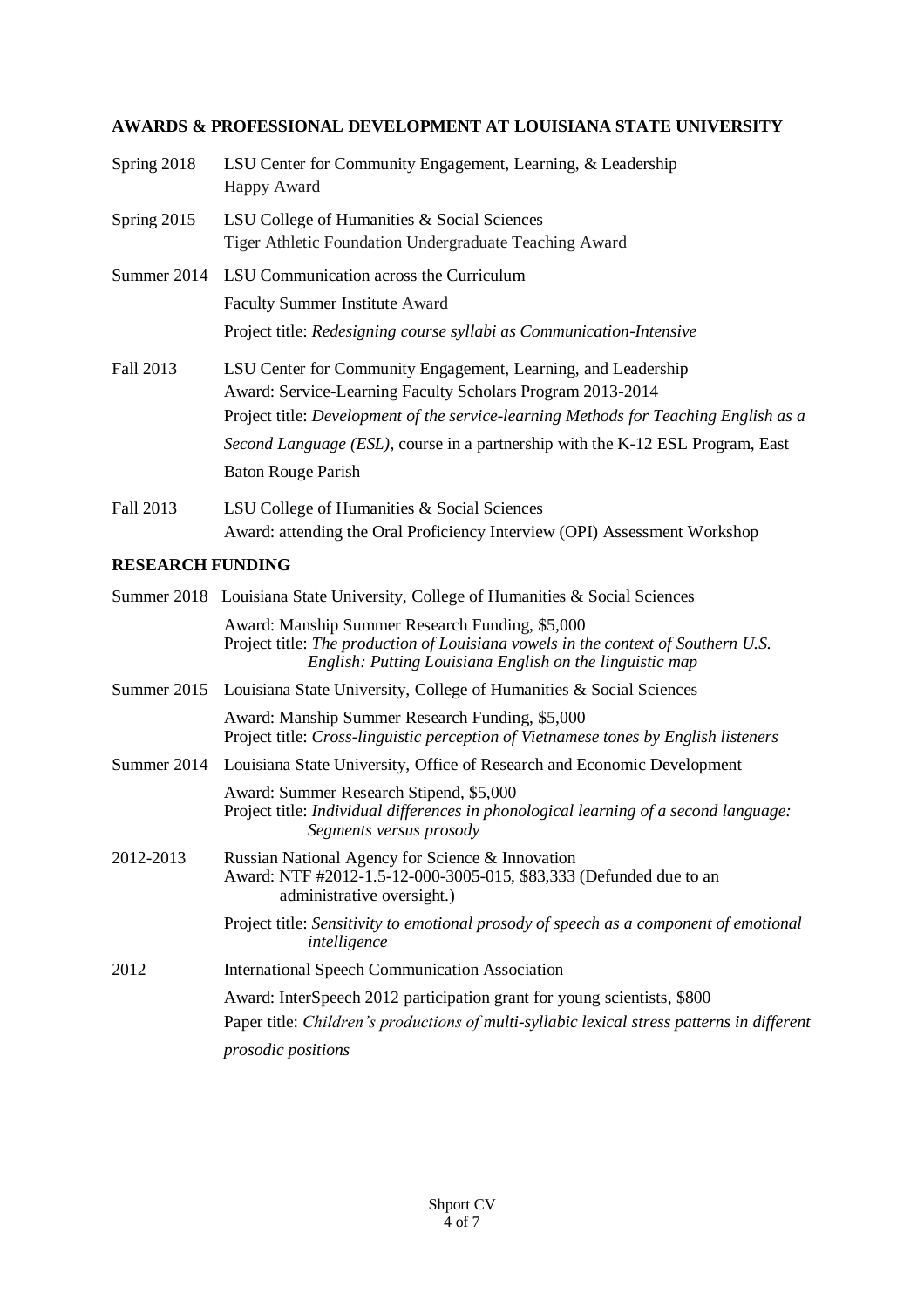# **AWARDS & PROFESSIONAL DEVELOPMENT AT LOUISIANA STATE UNIVERSITY**

| Spring 2018 | LSU Center for Community Engagement, Learning, & Leadership<br>Happy Award                                                                                                                                                                                                                                                         |
|-------------|------------------------------------------------------------------------------------------------------------------------------------------------------------------------------------------------------------------------------------------------------------------------------------------------------------------------------------|
| Spring 2015 | LSU College of Humanities & Social Sciences<br>Tiger Athletic Foundation Undergraduate Teaching Award                                                                                                                                                                                                                              |
| Summer 2014 | LSU Communication across the Curriculum                                                                                                                                                                                                                                                                                            |
|             | <b>Faculty Summer Institute Award</b>                                                                                                                                                                                                                                                                                              |
|             | Project title: Redesigning course syllabi as Communication-Intensive                                                                                                                                                                                                                                                               |
| Fall 2013   | LSU Center for Community Engagement, Learning, and Leadership<br>Award: Service-Learning Faculty Scholars Program 2013-2014<br>Project title: Development of the service-learning Methods for Teaching English as a<br>Second Language (ESL), course in a partnership with the K-12 ESL Program, East<br><b>Baton Rouge Parish</b> |
| Fall 2013   | LSU College of Humanities & Social Sciences<br>Award: attending the Oral Proficiency Interview (OPI) Assessment Workshop                                                                                                                                                                                                           |

## **RESEARCH FUNDING**

|           | Summer 2018 Louisiana State University, College of Humanities & Social Sciences                                                                                                                  |
|-----------|--------------------------------------------------------------------------------------------------------------------------------------------------------------------------------------------------|
|           | Award: Manship Summer Research Funding, \$5,000<br>Project title: The production of Louisiana vowels in the context of Southern U.S.<br>English: Putting Louisiana English on the linguistic map |
|           | Summer 2015 Louisiana State University, College of Humanities & Social Sciences                                                                                                                  |
|           | Award: Manship Summer Research Funding, \$5,000<br>Project title: Cross-linguistic perception of Vietnamese tones by English listeners                                                           |
|           | Summer 2014 Louisiana State University, Office of Research and Economic Development                                                                                                              |
|           | Award: Summer Research Stipend, \$5,000<br>Project title: Individual differences in phonological learning of a second language:<br>Segments versus prosody                                       |
| 2012-2013 | Russian National Agency for Science & Innovation<br>Award: NTF #2012-1.5-12-000-3005-015, \$83,333 (Defunded due to an<br>administrative oversight.)                                             |
|           | Project title: Sensitivity to emotional prosody of speech as a component of emotional<br>intelligence                                                                                            |
| 2012      | <b>International Speech Communication Association</b>                                                                                                                                            |
|           | Award: InterSpeech 2012 participation grant for young scientists, \$800<br>Paper title: Children's productions of multi-syllabic lexical stress patterns in different<br>prosodic positions      |
|           |                                                                                                                                                                                                  |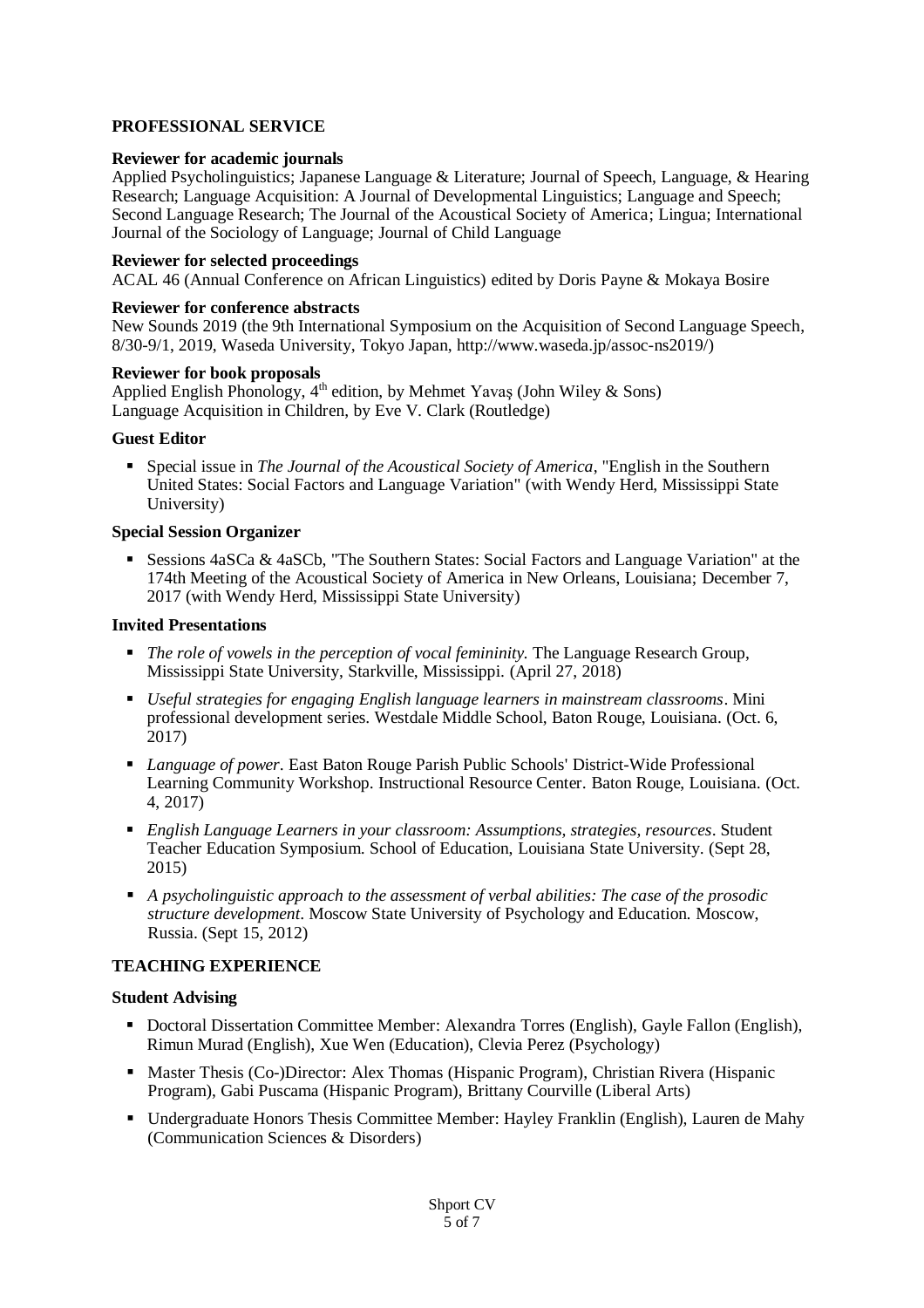# **PROFESSIONAL SERVICE**

## **Reviewer for academic journals**

Applied Psycholinguistics; Japanese Language & Literature; Journal of Speech, Language, & Hearing Research; Language Acquisition: A Journal of Developmental Linguistics; Language and Speech; Second Language Research; The Journal of the Acoustical Society of America; Lingua; International Journal of the Sociology of Language; Journal of Child Language

## **Reviewer for selected proceedings**

ACAL 46 (Annual Conference on African Linguistics) edited by Doris Payne & Mokaya Bosire

## **Reviewer for conference abstracts**

New Sounds 2019 (the 9th International Symposium on the Acquisition of Second Language Speech, 8/30-9/1, 2019, Waseda University, Tokyo Japan, http://www.waseda.jp/assoc-ns2019/)

## **Reviewer for book proposals**

Applied English Phonology,  $4<sup>th</sup>$  edition, by Mehmet Yavas (John Wiley & Sons) Language Acquisition in Children, by Eve V. Clark (Routledge)

## **Guest Editor**

 Special issue in *The Journal of the Acoustical Society of America*, "English in the Southern United States: Social Factors and Language Variation" (with Wendy Herd, Mississippi State University)

## **Special Session Organizer**

 Sessions 4aSCa & 4aSCb, "The Southern States: Social Factors and Language Variation" at the 174th Meeting of the Acoustical Society of America in New Orleans, Louisiana; December 7, 2017 (with Wendy Herd, Mississippi State University)

### **Invited Presentations**

- **The role of vowels in the perception of vocal femininity. The Language Research Group,** Mississippi State University, Starkville, Mississippi. (April 27, 2018)
- *Useful strategies for engaging English language learners in mainstream classrooms*. Mini professional development series. Westdale Middle School, Baton Rouge, Louisiana. (Oct. 6, 2017)
- *Language of power*. East Baton Rouge Parish Public Schools' District-Wide Professional Learning Community Workshop. Instructional Resource Center. Baton Rouge, Louisiana. (Oct. 4, 2017)
- *English Language Learners in your classroom: Assumptions, strategies, resources*. Student Teacher Education Symposium. School of Education, Louisiana State University. (Sept 28, 2015)
- *A psycholinguistic approach to the assessment of verbal abilities: The case of the prosodic structure development*. Moscow State University of Psychology and Education. Moscow, Russia. (Sept 15, 2012)

# **TEACHING EXPERIENCE**

#### **Student Advising**

- Doctoral Dissertation Committee Member: Alexandra Torres (English), Gayle Fallon (English), Rimun Murad (English), Xue Wen (Education), Clevia Perez (Psychology)
- **Master Thesis (Co-)Director: Alex Thomas (Hispanic Program), Christian Rivera (Hispanic** Program), Gabi Puscama (Hispanic Program), Brittany Courville (Liberal Arts)
- Undergraduate Honors Thesis Committee Member: Hayley Franklin (English), Lauren de Mahy (Communication Sciences & Disorders)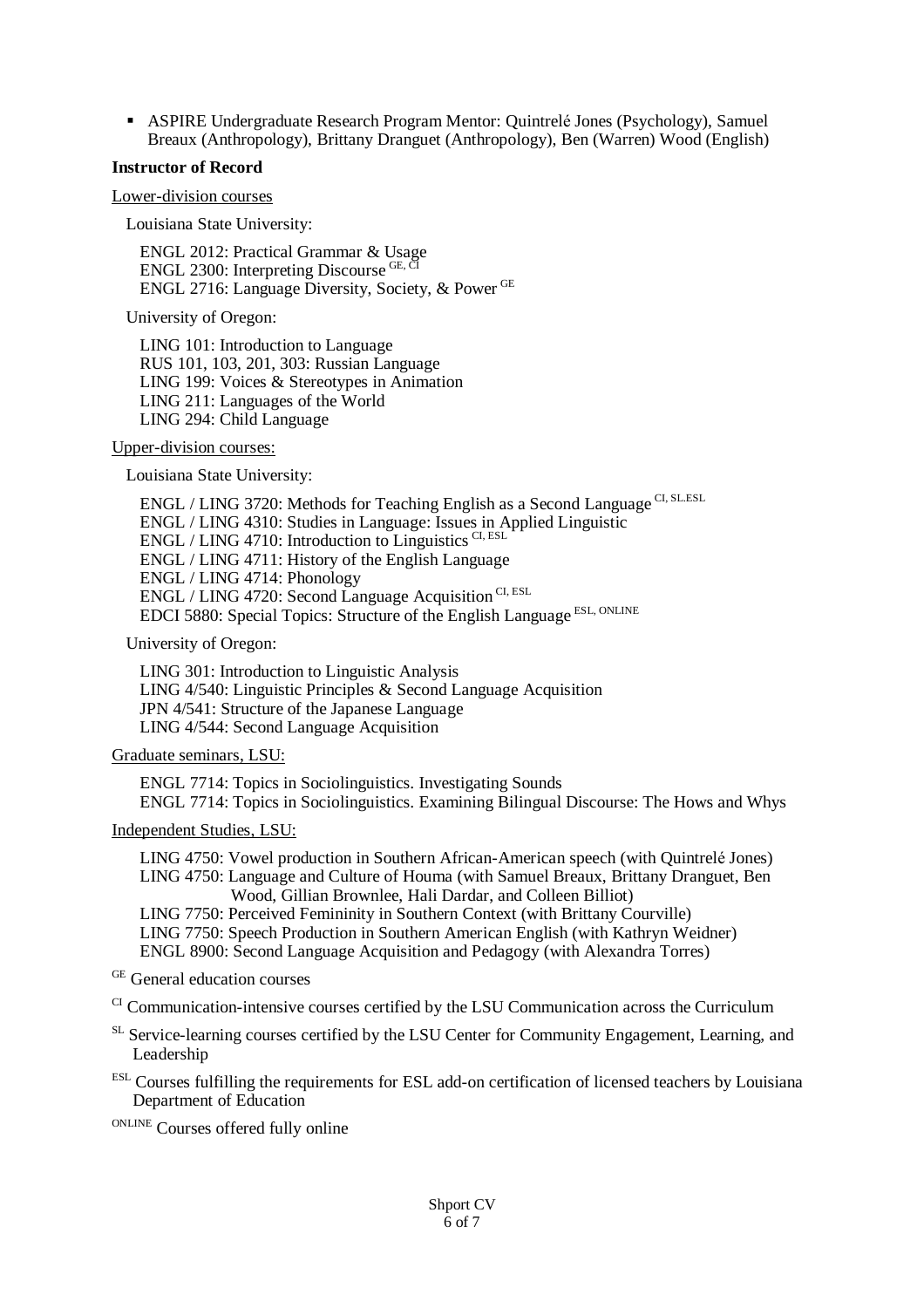ASPIRE Undergraduate Research Program Mentor: Quintrelé Jones (Psychology), Samuel Breaux (Anthropology), Brittany Dranguet (Anthropology), Ben (Warren) Wood (English)

#### **Instructor of Record**

Lower-division courses

Louisiana State University:

ENGL 2012: Practical Grammar & Usage ENGL 2300: Interpreting Discourse GE, CI ENGL 2716: Language Diversity, Society, & Power GE

University of Oregon:

LING 101: Introduction to Language RUS 101, 103, 201, 303: Russian Language LING 199: Voices & Stereotypes in Animation LING 211: Languages of the World LING 294: Child Language

Upper-division courses:

Louisiana State University:

ENGL / LING 3720: Methods for Teaching English as a Second Language CI, SLESL ENGL / LING 4310: Studies in Language: Issues in Applied Linguistic ENGL / LING 4710: Introduction to Linguistics  $CL$ , ESL ENGL / LING 4711: History of the English Language ENGL / LING 4714: Phonology ENGL / LING 4720: Second Language Acquisition<sup>CI, ESL</sup> EDCI 5880: Special Topics: Structure of the English Language ESL, ONLINE

University of Oregon:

LING 301: Introduction to Linguistic Analysis LING 4/540: Linguistic Principles & Second Language Acquisition JPN 4/541: Structure of the Japanese Language LING 4/544: Second Language Acquisition

Graduate seminars, LSU:

ENGL 7714: Topics in Sociolinguistics. Investigating Sounds ENGL 7714: Topics in Sociolinguistics. Examining Bilingual Discourse: The Hows and Whys

Independent Studies, LSU:

LING 4750: Vowel production in Southern African-American speech (with Quintrelé Jones) LING 4750: Language and Culture of Houma (with Samuel Breaux, Brittany Dranguet, Ben Wood, Gillian Brownlee, Hali Dardar, and Colleen Billiot) LING 7750: Perceived Femininity in Southern Context (with Brittany Courville)

LING 7750: Speech Production in Southern American English (with Kathryn Weidner) ENGL 8900: Second Language Acquisition and Pedagogy (with Alexandra Torres)

GE General education courses

 $\alpha$ <sup>CI</sup> Communication-intensive courses certified by the LSU Communication across the Curriculum

- <sup>SL</sup> Service-learning courses certified by the LSU Center for Community Engagement, Learning, and Leadership
- ESL Courses fulfilling the requirements for ESL add-on certification of licensed teachers by Louisiana Department of Education

ONLINE Courses offered fully online